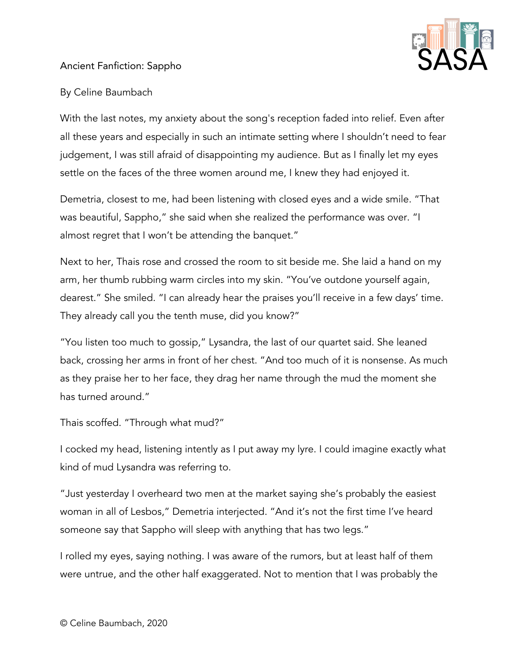

## Ancient Fanfiction: Sappho

## By Celine Baumbach

With the last notes, my anxiety about the song's reception faded into relief. Even after all these years and especially in such an intimate setting where I shouldn't need to fear judgement, I was still afraid of disappointing my audience. But as I finally let my eyes settle on the faces of the three women around me, I knew they had enjoyed it.

Demetria, closest to me, had been listening with closed eyes and a wide smile. "That was beautiful, Sappho," she said when she realized the performance was over. "I almost regret that I won't be attending the banquet."

Next to her, Thais rose and crossed the room to sit beside me. She laid a hand on my arm, her thumb rubbing warm circles into my skin. "You've outdone yourself again, dearest." She smiled. "I can already hear the praises you'll receive in a few days' time. They already call you the tenth muse, did you know?"

"You listen too much to gossip," Lysandra, the last of our quartet said. She leaned back, crossing her arms in front of her chest. "And too much of it is nonsense. As much as they praise her to her face, they drag her name through the mud the moment she has turned around."

Thais scoffed. "Through what mud?"

I cocked my head, listening intently as I put away my lyre. I could imagine exactly what kind of mud Lysandra was referring to.

"Just yesterday I overheard two men at the market saying she's probably the easiest woman in all of Lesbos," Demetria interjected. "And it's not the first time I've heard someone say that Sappho will sleep with anything that has two legs."

I rolled my eyes, saying nothing. I was aware of the rumors, but at least half of them were untrue, and the other half exaggerated. Not to mention that I was probably the